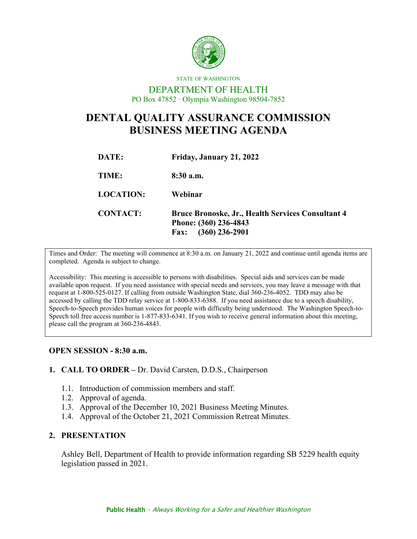

# DEPARTMENT OF HEALTH PO Box 47852 · Olympia Washington 98504-7852

STATE OF WASHINGTON

# **DENTAL QUALITY ASSURANCE COMMISSION BUSINESS MEETING AGENDA**

| DATE:            | Friday, January 21, 2022                                                                                      |
|------------------|---------------------------------------------------------------------------------------------------------------|
| TIME:            | $8:30$ a.m.                                                                                                   |
| <b>LOCATION:</b> | Webinar                                                                                                       |
| <b>CONTACT:</b>  | <b>Bruce Bronoske, Jr., Health Services Consultant 4</b><br>Phone: (360) 236-4843<br>$(360)$ 236-2901<br>Fax: |

Times and Order: The meeting will commence at 8:30 a.m. on January 21, 2022 and continue until agenda items are completed. Agenda is subject to change.

Accessibility: This meeting is accessible to persons with disabilities. Special aids and services can be made available upon request. If you need assistance with special needs and services, you may leave a message with that request at 1-800-525-0127. If calling from outside Washington State, dial 360-236-4052. TDD may also be accessed by calling the TDD relay service at 1-800-833-6388. If you need assistance due to a speech disability, Speech-to-Speech provides human voices for people with difficulty being understood. The Washington Speech-to-Speech toll free access number is 1-877-833-6341. If you wish to receive general information about this meeting, please call the program at 360-236-4843.

#### **OPEN SESSION - 8:30 a.m.**

#### **1. CALL TO ORDER –** Dr. David Carsten, D.D.S., Chairperson

- 1.1. Introduction of commission members and staff.
- 1.2. Approval of agenda.
- 1.3. Approval of the December 10, 2021 Business Meeting Minutes.
- 1.4. Approval of the October 21, 2021 Commission Retreat Minutes.

#### **2. PRESENTATION**

Ashley Bell, Department of Health to provide information regarding SB 5229 health equity legislation passed in 2021.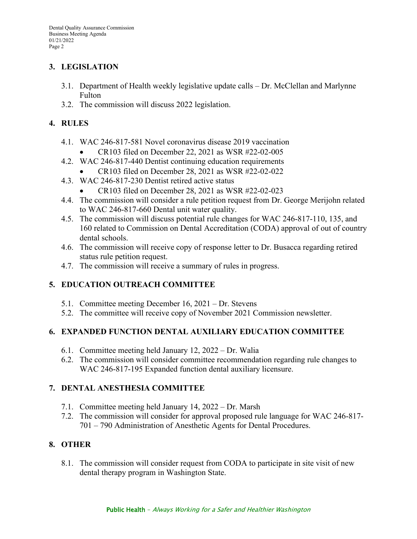# **3. LEGISLATION**

- 3.1. Department of Health weekly legislative update calls Dr. McClellan and Marlynne Fulton
- 3.2. The commission will discuss 2022 legislation.

# **4. RULES**

- 4.1. WAC 246-817-581 Novel coronavirus disease 2019 vaccination
	- CR103 filed on December 22, 2021 as WSR #22-02-005
- 4.2. WAC 246-817-440 Dentist continuing education requirements
	- CR103 filed on December 28, 2021 as WSR #22-02-022
- 4.3. WAC 246-817-230 Dentist retired active status
	- CR103 filed on December 28, 2021 as WSR #22-02-023
- 4.4. The commission will consider a rule petition request from Dr. George Merijohn related to WAC 246-817-660 Dental unit water quality.
- 4.5. The commission will discuss potential rule changes for WAC 246-817-110, 135, and 160 related to Commission on Dental Accreditation (CODA) approval of out of country dental schools.
- 4.6. The commission will receive copy of response letter to Dr. Busacca regarding retired status rule petition request.
- 4.7. The commission will receive a summary of rules in progress.

# **5. EDUCATION OUTREACH COMMITTEE**

- 5.1. Committee meeting December 16, 2021 Dr. Stevens
- 5.2. The committee will receive copy of November 2021 Commission newsletter.

#### **6. EXPANDED FUNCTION DENTAL AUXILIARY EDUCATION COMMITTEE**

- 6.1. Committee meeting held January 12, 2022 Dr. Walia
- 6.2. The commission will consider committee recommendation regarding rule changes to WAC 246-817-195 Expanded function dental auxiliary licensure.

#### **7. DENTAL ANESTHESIA COMMITTEE**

- 7.1. Committee meeting held January 14, 2022 Dr. Marsh
- 7.2. The commission will consider for approval proposed rule language for WAC 246-817- 701 – 790 Administration of Anesthetic Agents for Dental Procedures.

# **8. OTHER**

8.1. The commission will consider request from CODA to participate in site visit of new dental therapy program in Washington State.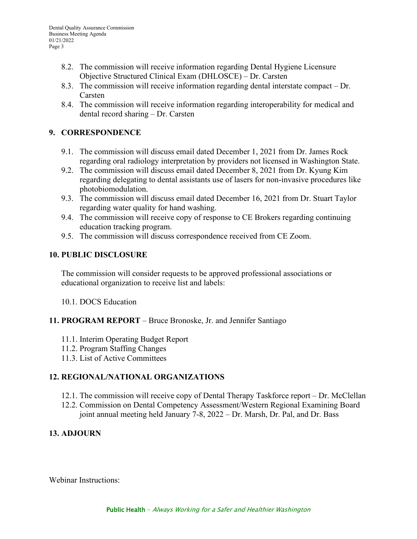- 8.2. The commission will receive information regarding Dental Hygiene Licensure Objective Structured Clinical Exam (DHLOSCE) – Dr. Carsten
- 8.3. The commission will receive information regarding dental interstate compact Dr. Carsten
- 8.4. The commission will receive information regarding interoperability for medical and dental record sharing – Dr. Carsten

# **9. CORRESPONDENCE**

- 9.1. The commission will discuss email dated December 1, 2021 from Dr. James Rock regarding oral radiology interpretation by providers not licensed in Washington State.
- 9.2. The commission will discuss email dated December 8, 2021 from Dr. Kyung Kim regarding delegating to dental assistants use of lasers for non-invasive procedures like photobiomodulation.
- 9.3. The commission will discuss email dated December 16, 2021 from Dr. Stuart Taylor regarding water quality for hand washing.
- 9.4. The commission will receive copy of response to CE Brokers regarding continuing education tracking program.
- 9.5. The commission will discuss correspondence received from CE Zoom.

# **10. PUBLIC DISCLOSURE**

The commission will consider requests to be approved professional associations or educational organization to receive list and labels:

10.1. DOCS Education

#### **11. PROGRAM REPORT** – Bruce Bronoske, Jr. and Jennifer Santiago

- 11.1. Interim Operating Budget Report
- 11.2. Program Staffing Changes
- 11.3. List of Active Committees

#### **12. REGIONAL/NATIONAL ORGANIZATIONS**

- 12.1. The commission will receive copy of Dental Therapy Taskforce report Dr. McClellan
- 12.2. Commission on Dental Competency Assessment/Western Regional Examining Board joint annual meeting held January 7-8, 2022 – Dr. Marsh, Dr. Pal, and Dr. Bass

# **13. ADJOURN**

Webinar Instructions: